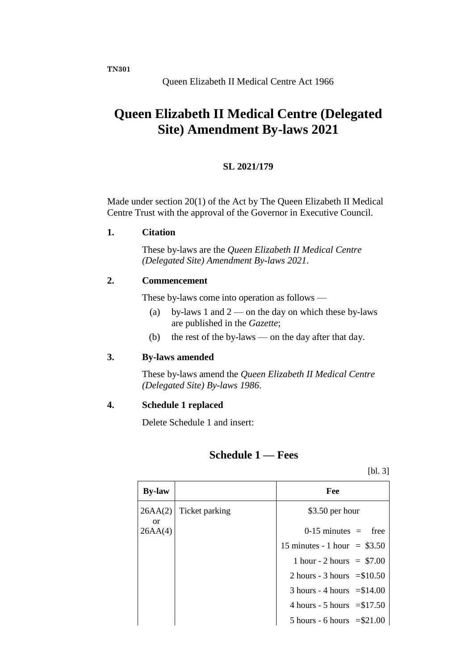# **Queen Elizabeth II Medical Centre (Delegated Site) Amendment By-laws 2021**

#### **SL 2021/179**

Made under section 20(1) of the Act by The Queen Elizabeth II Medical Centre Trust with the approval of the Governor in Executive Council.

**1. Citation**

These by-laws are the *Queen Elizabeth II Medical Centre (Delegated Site) Amendment By-laws 2021*.

### **2. Commencement**

These by-laws come into operation as follows —

- (a) by-laws 1 and  $2$  on the day on which these by-laws are published in the *Gazette*;
- (b) the rest of the by-laws on the day after that day.

#### **3. By-laws amended**

These by-laws amend the *Queen Elizabeth II Medical Centre (Delegated Site) By-laws 1986*.

#### **4. Schedule 1 replaced**

Delete Schedule 1 and insert:

## **Schedule 1 — Fees**

[bl. 3]

| <b>By-law</b>  |                | Fee                                          |
|----------------|----------------|----------------------------------------------|
| 26AA(2)<br>or. | Ticket parking | \$3.50 per hour                              |
| 26AA(4)        |                | $0-15$ minutes = free                        |
|                |                | 15 minutes - 1 hour = $$3.50$                |
|                |                | 1 hour - 2 hours = $$7.00$                   |
|                |                | 2 hours - 3 hours $= $10.50$                 |
|                |                | $3$ hours - 4 hours = \$14.00                |
|                |                | 4 hours - 5 hours $= $17.50$                 |
|                |                | $5 \text{ hours} - 6 \text{ hours} = $21.00$ |